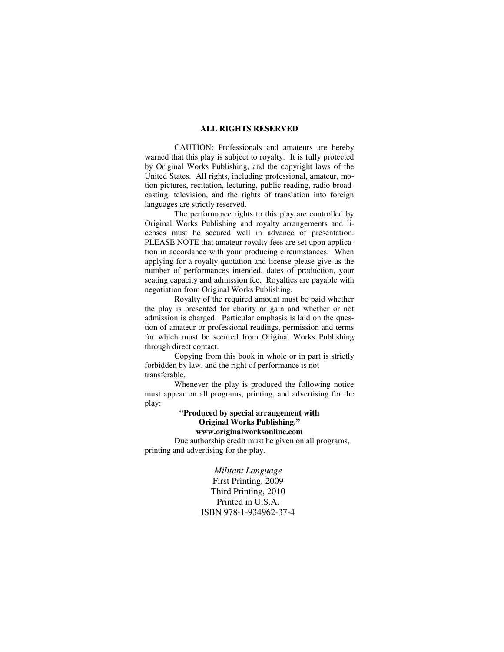#### **ALL RIGHTS RESERVED**

 CAUTION: Professionals and amateurs are hereby warned that this play is subject to royalty. It is fully protected by Original Works Publishing, and the copyright laws of the United States. All rights, including professional, amateur, motion pictures, recitation, lecturing, public reading, radio broadcasting, television, and the rights of translation into foreign languages are strictly reserved.

 The performance rights to this play are controlled by Original Works Publishing and royalty arrangements and licenses must be secured well in advance of presentation. PLEASE NOTE that amateur royalty fees are set upon application in accordance with your producing circumstances. When applying for a royalty quotation and license please give us the number of performances intended, dates of production, your seating capacity and admission fee. Royalties are payable with negotiation from Original Works Publishing.

 Royalty of the required amount must be paid whether the play is presented for charity or gain and whether or not admission is charged. Particular emphasis is laid on the question of amateur or professional readings, permission and terms for which must be secured from Original Works Publishing through direct contact.

 Copying from this book in whole or in part is strictly forbidden by law, and the right of performance is not transferable.

 Whenever the play is produced the following notice must appear on all programs, printing, and advertising for the play:

# **"Produced by special arrangement with Original Works Publishing."**

**www.originalworksonline.com** 

 Due authorship credit must be given on all programs, printing and advertising for the play.

> *Militant Language*  First Printing, 2009 Third Printing, 2010 Printed in U.S.A. ISBN 978-1-934962-37-4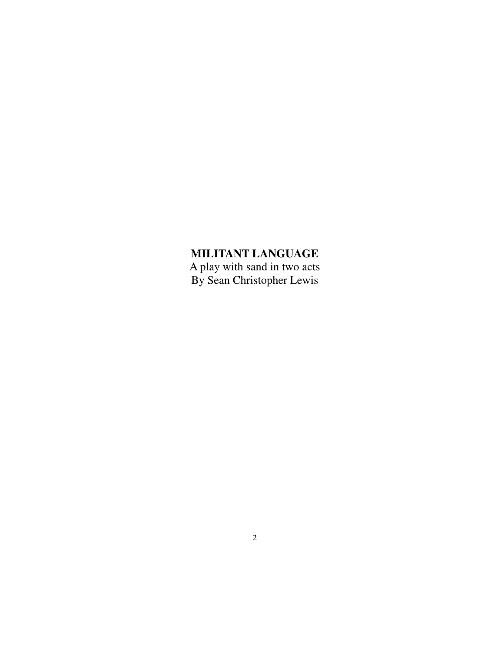# **MILITANT LANGUAGE**

A play with sand in two acts By Sean Christopher Lewis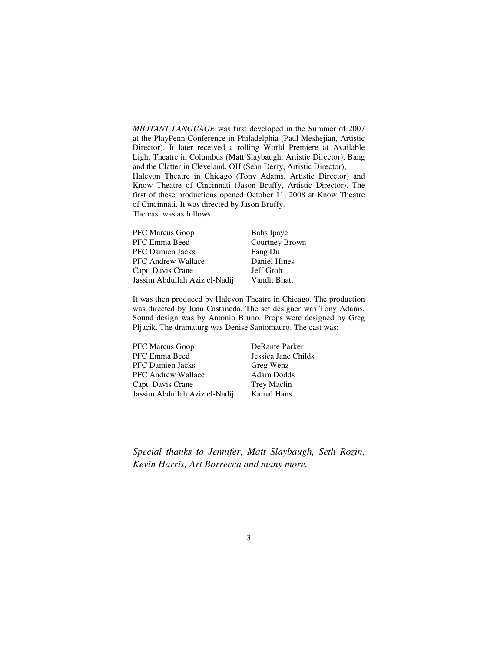*MILITANT LANGUAGE* was first developed in the Summer of 2007 at the PlayPenn Conference in Philadelphia (Paul Meshejian, Artistic Director). It later received a rolling World Premiere at Available Light Theatre in Columbus (Matt Slaybaugh, Artistic Director), Bang and the Clatter in Cleveland, OH (Sean Derry, Artistic Director), Halcyon Theatre in Chicago (Tony Adams, Artistic Director) and Know Theatre of Cincinnati (Jason Bruffy, Artistic Director). The first of these productions opened October 11, 2008 at Know Theatre of Cincinnati. It was directed by Jason Bruffy. The cast was as follows:

| <b>PFC Marcus Goop</b>        | Babs Ipaye          |
|-------------------------------|---------------------|
| PFC Emma Beed                 | Courtney Brown      |
| <b>PFC</b> Damien Jacks       | Fang Du             |
| PFC Andrew Wallace            | Daniel Hines        |
| Capt. Davis Crane             | Jeff Groh           |
| Jassim Abdullah Aziz el-Nadij | <b>Vandit Bhatt</b> |

It was then produced by Halcyon Theatre in Chicago. The production was directed by Juan Castaneda. The set designer was Tony Adams. Sound design was by Antonio Bruno. Props were designed by Greg Pljacik. The dramaturg was Denise Santomauro. The cast was:

PFC Marcus Goop DeRante Parker PFC Emma Beed Jessica Jane Childs PFC Damien Jacks Greg Wenz PFC Andrew Wallace Adam Dodds Capt. Davis Crane Trey Maclin Jassim Abdullah Aziz el-Nadij Kamal Hans

*Special thanks to Jennifer, Matt Slaybaugh, Seth Rozin, Kevin Harris, Art Borrecca and many more.*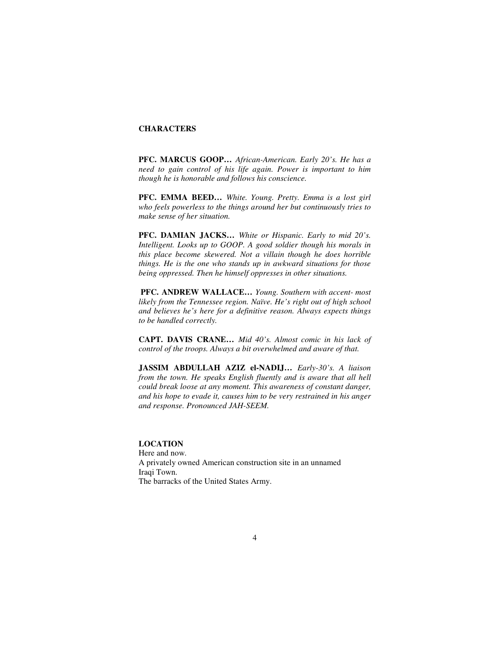### **CHARACTERS**

**PFC. MARCUS GOOP…** *African-American. Early 20's. He has a need to gain control of his life again. Power is important to him though he is honorable and follows his conscience.* 

**PFC. EMMA BEED…** *White. Young. Pretty. Emma is a lost girl who feels powerless to the things around her but continuously tries to make sense of her situation.* 

**PFC. DAMIAN JACKS…** *White or Hispanic. Early to mid 20's. Intelligent. Looks up to GOOP. A good soldier though his morals in this place become skewered. Not a villain though he does horrible things. He is the one who stands up in awkward situations for those being oppressed. Then he himself oppresses in other situations.* 

**PFC. ANDREW WALLACE…** *Young. Southern with accent- most likely from the Tennessee region. Naïve. He's right out of high school and believes he's here for a definitive reason. Always expects things to be handled correctly.* 

**CAPT. DAVIS CRANE…** *Mid 40's. Almost comic in his lack of control of the troops. Always a bit overwhelmed and aware of that.* 

**JASSIM ABDULLAH AZIZ el-NADIJ…** *Early-30's. A liaison from the town. He speaks English fluently and is aware that all hell could break loose at any moment. This awareness of constant danger, and his hope to evade it, causes him to be very restrained in his anger and response. Pronounced JAH-SEEM.* 

# **LOCATION**

Here and now. A privately owned American construction site in an unnamed Iraqi Town. The barracks of the United States Army.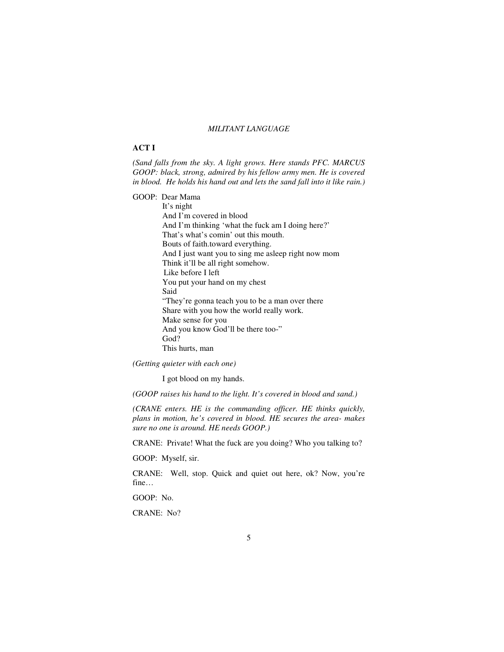## *MILITANT LANGUAGE*

#### **ACT I**

*(Sand falls from the sky. A light grows. Here stands PFC. MARCUS GOOP: black, strong, admired by his fellow army men. He is covered in blood. He holds his hand out and lets the sand fall into it like rain.)* 

GOOP: Dear Mama

 It's night And I'm covered in blood And I'm thinking 'what the fuck am I doing here?' That's what's comin' out this mouth. Bouts of faith.toward everything. And I just want you to sing me asleep right now mom Think it'll be all right somehow. Like before I left You put your hand on my chest Said "They're gonna teach you to be a man over there Share with you how the world really work. Make sense for you And you know God'll be there too-" God? This hurts, man

*(Getting quieter with each one)* 

I got blood on my hands.

*(GOOP raises his hand to the light. It's covered in blood and sand.)* 

*(CRANE enters. HE is the commanding officer. HE thinks quickly, plans in motion, he's covered in blood. HE secures the area- makes sure no one is around. HE needs GOOP.)* 

CRANE: Private! What the fuck are you doing? Who you talking to?

GOOP: Myself, sir.

CRANE: Well, stop. Quick and quiet out here, ok? Now, you're fine…

GOOP: No.

CRANE: No?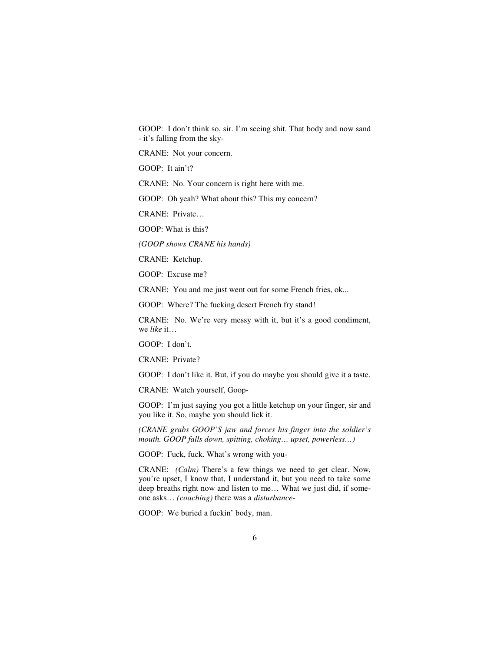GOOP: I don't think so, sir. I'm seeing shit. That body and now sand - it's falling from the sky-

CRANE: Not your concern.

GOOP: It ain't?

CRANE: No. Your concern is right here with me.

GOOP: Oh yeah? What about this? This my concern?

CRANE: Private…

GOOP: What is this?

*(GOOP shows CRANE his hands)* 

CRANE: Ketchup.

GOOP: Excuse me?

CRANE: You and me just went out for some French fries, ok...

GOOP: Where? The fucking desert French fry stand!

CRANE: No. We're very messy with it, but it's a good condiment, we *like* it…

GOOP: I don't.

CRANE: Private?

GOOP: I don't like it. But, if you do maybe you should give it a taste.

CRANE: Watch yourself, Goop-

GOOP: I'm just saying you got a little ketchup on your finger, sir and you like it. So, maybe you should lick it.

*(CRANE grabs GOOP'S jaw and forces his finger into the soldier's mouth. GOOP falls down, spitting, choking… upset, powerless…)* 

GOOP: Fuck, fuck. What's wrong with you-

CRANE: *(Calm)* There's a few things we need to get clear. Now, you're upset, I know that, I understand it, but you need to take some deep breaths right now and listen to me… What we just did, if someone asks… *(coaching)* there was a *disturbance*-

GOOP: We buried a fuckin' body, man.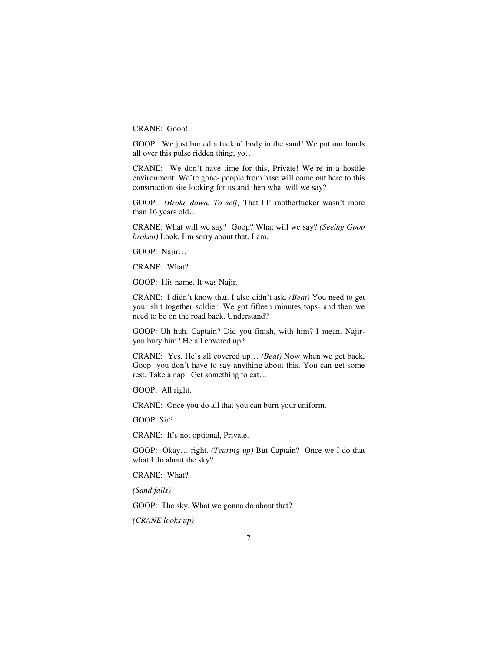CRANE: Goop!

GOOP: We just buried a fuckin' body in the sand! We put our hands all over this pulse ridden thing, yo…

CRANE: We don't have time for this, Private! We're in a hostile environment. We're gone- people from base will come out here to this construction site looking for us and then what will we say?

GOOP: *(Broke down. To self)* That lil' motherfucker wasn't more than 16 years old…

CRANE: What will we say? Goop? What will we say? *(Seeing Goop broken)* Look, I'm sorry about that. I am.

GOOP: Najir…

CRANE: What?

GOOP: His name. It was Najir.

CRANE: I didn't know that. I also didn't ask. *(Beat)* You need to get your shit together soldier. We got fifteen minutes tops- and then we need to be on the road back. Understand?

GOOP: Uh huh. Captain? Did you finish, with him? I mean. Najiryou bury him? He all covered up?

CRANE: Yes. He's all covered up… *(Beat)* Now when we get back, Goop- you don't have to say anything about this. You can get some rest. Take a nap. Get something to eat…

GOOP: All right.

CRANE: Once you do all that you can burn your uniform.

GOOP: Sir?

CRANE: It's not optional, Private.

GOOP: Okay… right. *(Tearing up)* But Captain? Once we I do that what I do about the sky?

CRANE: What?

*(Sand falls)* 

GOOP: The sky. What we gonna do about that?

*(CRANE looks up)*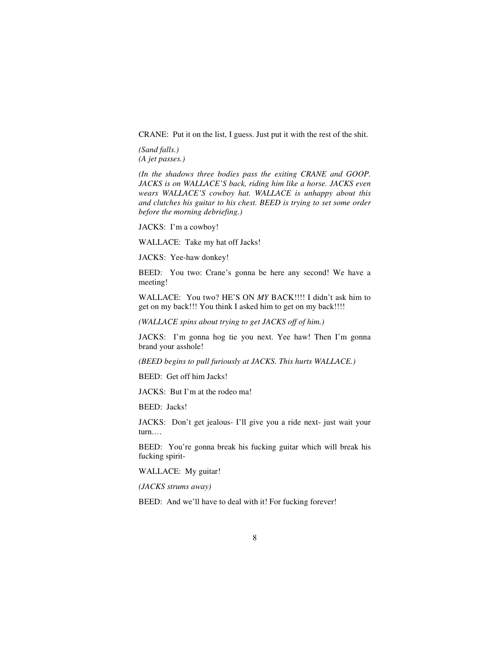CRANE: Put it on the list, I guess. Just put it with the rest of the shit.

*(Sand falls.) (A jet passes.)* 

*(In the shadows three bodies pass the exiting CRANE and GOOP. JACKS is on WALLACE'S back, riding him like a horse. JACKS even wears WALLACE'S cowboy hat. WALLACE is unhappy about this and clutches his guitar to his chest. BEED is trying to set some order before the morning debriefing.)* 

JACKS: I'm a cowboy!

WALLACE: Take my hat off Jacks!

JACKS: Yee-haw donkey!

BEED: You two: Crane's gonna be here any second! We have a meeting!

WALLACE: You two? HE'S ON *MY* BACK!!!! I didn't ask him to get on my back!!! You think I asked him to get on my back!!!!

*(WALLACE spins about trying to get JACKS off of him.)*

JACKS: I'm gonna hog tie you next. Yee haw! Then I'm gonna brand your asshole!

*(BEED begins to pull furiously at JACKS. This hurts WALLACE.)* 

BEED: Get off him Jacks!

JACKS: But I'm at the rodeo ma!

BEED: Jacks!

JACKS: Don't get jealous- I'll give you a ride next- just wait your turn.…

BEED: You're gonna break his fucking guitar which will break his fucking spirit-

WALLACE: My guitar!

*(JACKS strums away)* 

BEED: And we'll have to deal with it! For fucking forever!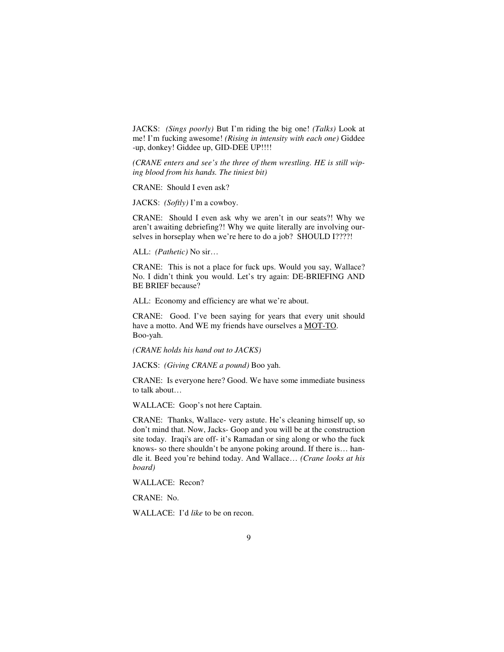JACKS: *(Sings poorly)* But I'm riding the big one! *(Talks)* Look at me! I'm fucking awesome! *(Rising in intensity with each one)* Giddee -up, donkey! Giddee up, GID-DEE UP!!!!

*(CRANE enters and see's the three of them wrestling. HE is still wiping blood from his hands. The tiniest bit)* 

CRANE: Should I even ask?

JACKS: *(Softly)* I'm a cowboy.

CRANE: Should I even ask why we aren't in our seats?! Why we aren't awaiting debriefing?! Why we quite literally are involving ourselves in horseplay when we're here to do a job? SHOULD I????!

ALL: *(Pathetic)* No sir…

CRANE: This is not a place for fuck ups. Would you say, Wallace? No. I didn't think you would. Let's try again: DE-BRIEFING AND BE BRIEF because?

ALL: Economy and efficiency are what we're about.

CRANE: Good. I've been saying for years that every unit should have a motto. And WE my friends have ourselves a MOT-TO. Boo-yah.

*(CRANE holds his hand out to JACKS)* 

JACKS: *(Giving CRANE a pound)* Boo yah.

CRANE: Is everyone here? Good. We have some immediate business to talk about…

WALLACE: Goop's not here Captain.

CRANE: Thanks, Wallace- very astute. He's cleaning himself up, so don't mind that. Now, Jacks- Goop and you will be at the construction site today. Iraqi's are off- it's Ramadan or sing along or who the fuck knows- so there shouldn't be anyone poking around. If there is… handle it. Beed you're behind today. And Wallace… *(Crane looks at his board)* 

WALLACE: Recon?

CRANE: No.

WALLACE: I'd *like* to be on recon.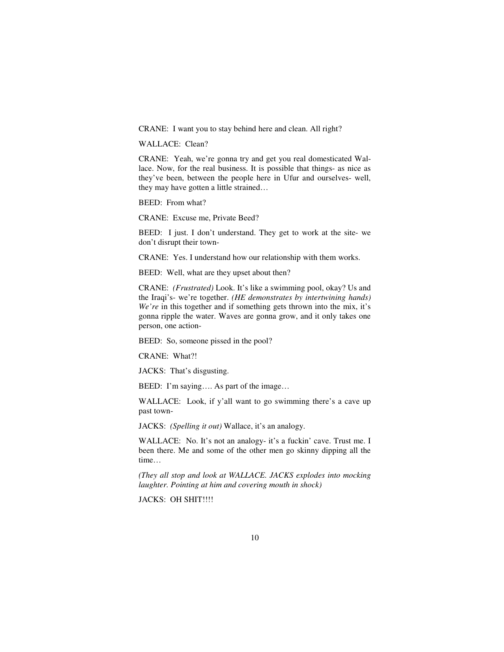CRANE: I want you to stay behind here and clean. All right?

#### WALLACE: Clean?

CRANE: Yeah, we're gonna try and get you real domesticated Wallace. Now, for the real business. It is possible that things- as nice as they've been, between the people here in Ufur and ourselves- well, they may have gotten a little strained…

BEED: From what?

CRANE: Excuse me, Private Beed?

BEED: I just. I don't understand. They get to work at the site- we don't disrupt their town-

CRANE: Yes. I understand how our relationship with them works.

BEED: Well, what are they upset about then?

CRANE: *(Frustrated)* Look. It's like a swimming pool, okay? Us and the Iraqi's- we're together. *(HE demonstrates by intertwining hands) We're* in this together and if something gets thrown into the mix, it's gonna ripple the water. Waves are gonna grow, and it only takes one person, one action-

BEED: So, someone pissed in the pool?

CRANE: What?!

JACKS: That's disgusting.

BEED: I'm saying.... As part of the image...

WALLACE: Look, if y'all want to go swimming there's a cave up past town-

JACKS: *(Spelling it out)* Wallace, it's an analogy.

WALLACE: No. It's not an analogy- it's a fuckin' cave. Trust me. I been there. Me and some of the other men go skinny dipping all the time…

*(They all stop and look at WALLACE. JACKS explodes into mocking laughter. Pointing at him and covering mouth in shock)* 

JACKS: OH SHIT!!!!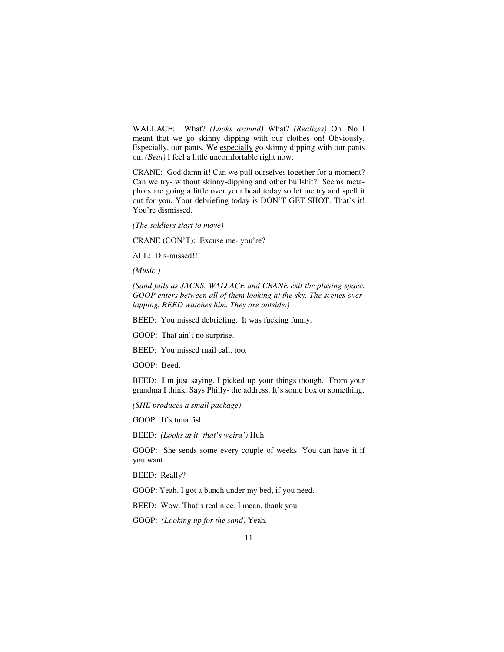WALLACE: What? *(Looks around)* What? *(Realizes)* Oh. No I meant that we go skinny dipping with our clothes on! Obviously. Especially, our pants. We especially go skinny dipping with our pants on. *(Beat)* I feel a little uncomfortable right now.

CRANE: God damn it! Can we pull ourselves together for a moment? Can we try- without skinny-dipping and other bullshit? Seems metaphors are going a little over your head today so let me try and spell it out for you. Your debriefing today is DON'T GET SHOT. That's it! You're dismissed.

*(The soldiers start to move)* 

CRANE (CON'T): Excuse me- you're?

ALL: Dis-missed!!!

*(Music.)* 

*(Sand falls as JACKS, WALLACE and CRANE exit the playing space. GOOP enters between all of them looking at the sky. The scenes overlapping. BEED watches him. They are outside.)* 

BEED: You missed debriefing. It was fucking funny.

GOOP: That ain't no surprise.

BEED: You missed mail call, too.

GOOP: Beed.

BEED: I'm just saying. I picked up your things though. From your grandma I think. Says Philly- the address. It's some box or something.

*(SHE produces a small package)* 

GOOP: It's tuna fish.

BEED: *(Looks at it 'that's weird')* Huh.

GOOP: She sends some every couple of weeks. You can have it if you want.

BEED: Really?

GOOP: Yeah. I got a bunch under my bed, if you need.

BEED: Wow. That's real nice. I mean, thank you.

GOOP: *(Looking up for the sand)* Yeah.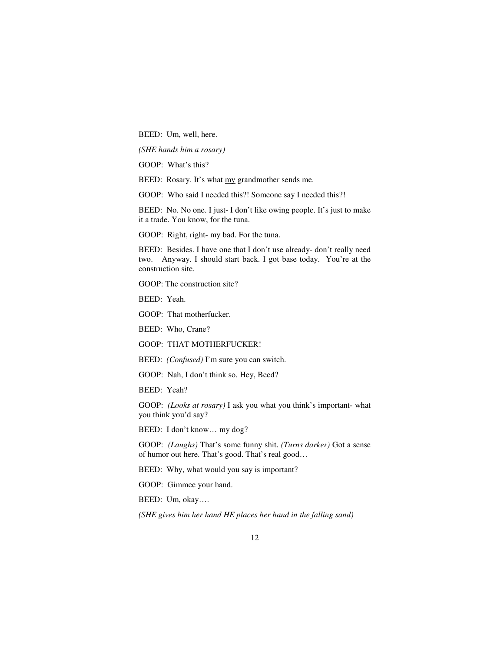BEED: Um, well, here.

*(SHE hands him a rosary)* 

GOOP: What's this?

BEED: Rosary. It's what my grandmother sends me.

GOOP: Who said I needed this?! Someone say I needed this?!

BEED: No. No one. I just- I don't like owing people. It's just to make it a trade. You know, for the tuna.

GOOP: Right, right- my bad. For the tuna.

BEED: Besides. I have one that I don't use already- don't really need two. Anyway. I should start back. I got base today. You're at the construction site.

GOOP: The construction site?

BEED: Yeah.

GOOP: That motherfucker.

BEED: Who, Crane?

GOOP: THAT MOTHERFUCKER!

BEED: *(Confused)* I'm sure you can switch.

GOOP: Nah, I don't think so. Hey, Beed?

BEED: Yeah?

GOOP: *(Looks at rosary)* I ask you what you think's important- what you think you'd say?

BEED: I don't know… my dog?

GOOP: *(Laughs)* That's some funny shit. *(Turns darker)* Got a sense of humor out here. That's good. That's real good…

BEED: Why, what would you say is important?

GOOP: Gimmee your hand.

BEED: Um, okay….

*(SHE gives him her hand HE places her hand in the falling sand)*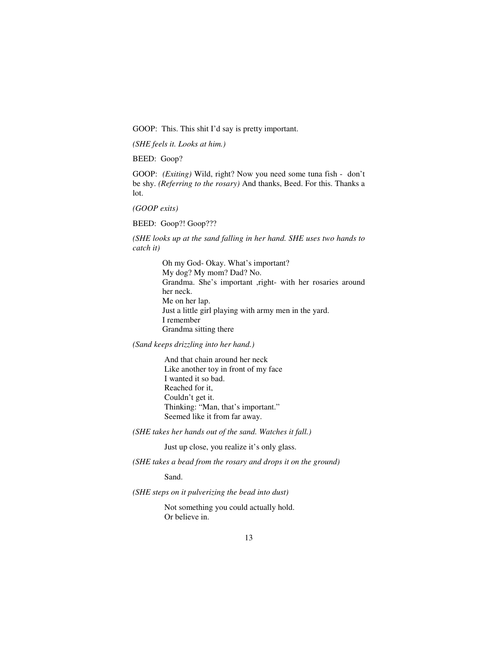GOOP: This. This shit I'd say is pretty important.

*(SHE feels it. Looks at him.)* 

BEED: Goop?

GOOP: *(Exiting)* Wild, right? Now you need some tuna fish - don't be shy. *(Referring to the rosary)* And thanks, Beed. For this. Thanks a lot.

*(GOOP exits)* 

BEED: Goop?! Goop???

*(SHE looks up at the sand falling in her hand. SHE uses two hands to catch it)* 

> Oh my God- Okay. What's important? My dog? My mom? Dad? No. Grandma. She's important ,right- with her rosaries around her neck. Me on her lap. Just a little girl playing with army men in the yard. I remember Grandma sitting there

*(Sand keeps drizzling into her hand.)* 

 And that chain around her neck Like another toy in front of my face I wanted it so bad. Reached for it, Couldn't get it. Thinking: "Man, that's important." Seemed like it from far away.

*(SHE takes her hands out of the sand. Watches it fall.)*

Just up close, you realize it's only glass.

*(SHE takes a bead from the rosary and drops it on the ground)* 

Sand.

*(SHE steps on it pulverizing the bead into dust)* 

 Not something you could actually hold. Or believe in.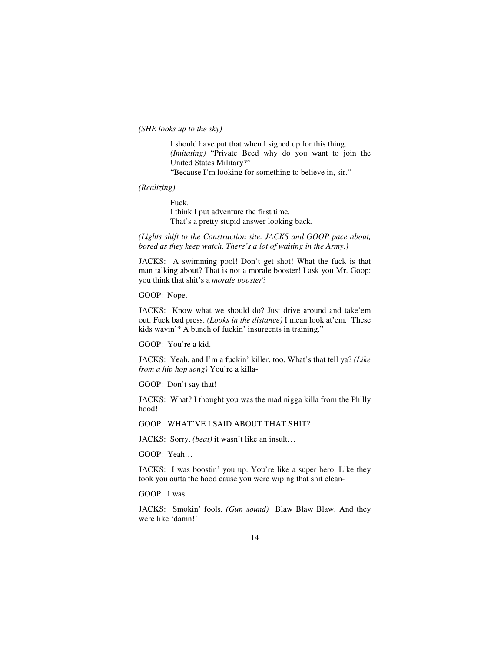*(SHE looks up to the sky)* 

 I should have put that when I signed up for this thing.  *(Imitating)* "Private Beed why do you want to join the United States Military?" "Because I'm looking for something to believe in, sir."

*(Realizing)* 

Fuck. I think I put adventure the first time. That's a pretty stupid answer looking back.

*(Lights shift to the Construction site. JACKS and GOOP pace about, bored as they keep watch. There's a lot of waiting in the Army.)* 

JACKS: A swimming pool! Don't get shot! What the fuck is that man talking about? That is not a morale booster! I ask you Mr. Goop: you think that shit's a *morale booster*?

GOOP: Nope.

JACKS: Know what we should do? Just drive around and take'em out. Fuck bad press. *(Looks in the distance)* I mean look at'em. These kids wavin'? A bunch of fuckin' insurgents in training."

GOOP: You're a kid.

JACKS: Yeah, and I'm a fuckin' killer, too. What's that tell ya? *(Like from a hip hop song)* You're a killa-

GOOP: Don't say that!

JACKS: What? I thought you was the mad nigga killa from the Philly hood!

GOOP: WHAT'VE I SAID ABOUT THAT SHIT?

JACKS: Sorry, *(beat)* it wasn't like an insult…

GOOP: Yeah…

JACKS: I was boostin' you up. You're like a super hero. Like they took you outta the hood cause you were wiping that shit clean-

GOOP: I was.

JACKS: Smokin' fools. *(Gun sound)* Blaw Blaw Blaw. And they were like 'damn!'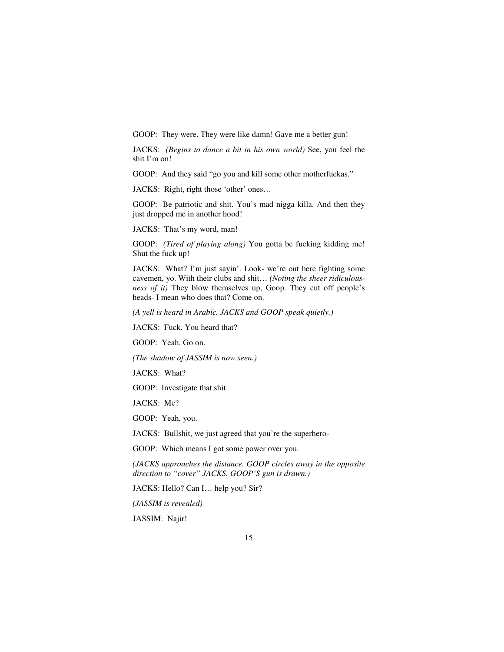GOOP: They were. They were like damn! Gave me a better gun!

JACKS: *(Begins to dance a bit in his own world)* See, you feel the shit I'm on!

GOOP: And they said "go you and kill some other motherfuckas."

JACKS: Right, right those 'other' ones…

GOOP: Be patriotic and shit. You's mad nigga killa. And then they just dropped me in another hood!

JACKS: That's my word, man!

GOOP: *(Tired of playing along)* You gotta be fucking kidding me! Shut the fuck up!

JACKS: What? I'm just sayin'. Look- we're out here fighting some cavemen, yo. With their clubs and shit… *(Noting the sheer ridiculousness of it)* They blow themselves up, Goop. They cut off people's heads- I mean who does that? Come on.

*(A yell is heard in Arabic. JACKS and GOOP speak quietly.)* 

JACKS: Fuck. You heard that?

GOOP: Yeah. Go on.

*(The shadow of JASSIM is now seen.)* 

JACKS: What?

GOOP: Investigate that shit.

JACKS: Me?

GOOP: Yeah, you.

JACKS: Bullshit, we just agreed that you're the superhero-

GOOP: Which means I got some power over you.

*(JACKS approaches the distance. GOOP circles away in the opposite direction to "cover" JACKS. GOOP'S gun is drawn.)* 

JACKS: Hello? Can I… help you? Sir?

*(JASSIM is revealed)* 

JASSIM: Najir!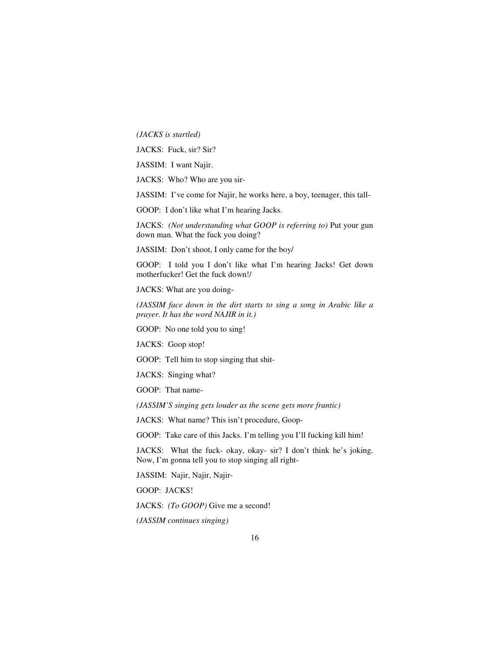*(JACKS is startled)* 

JACKS: Fuck, sir? Sir?

JASSIM: I want Najir.

JACKS: Who? Who are you sir-

JASSIM: I've come for Najir, he works here, a boy, teenager, this tall-

GOOP: I don't like what I'm hearing Jacks.

JACKS: *(Not understanding what GOOP is referring to)* Put your gun down man. What the fuck you doing?

JASSIM: Don't shoot, I only came for the boy/

GOOP: I told you I don't like what I'm hearing Jacks! Get down motherfucker! Get the fuck down!/

JACKS: What are you doing-

*(JASSIM face down in the dirt starts to sing a song in Arabic like a prayer. It has the word NAJIR in it.)* 

GOOP: No one told you to sing!

JACKS: Goop stop!

GOOP: Tell him to stop singing that shit-

JACKS: Singing what?

GOOP: That name-

*(JASSIM'S singing gets louder as the scene gets more frantic)* 

JACKS: What name? This isn't procedure, Goop-

GOOP: Take care of this Jacks. I'm telling you I'll fucking kill him!

JACKS: What the fuck- okay, okay- sir? I don't think he's joking. Now, I'm gonna tell you to stop singing all right-

JASSIM: Najir, Najir, Najir-

GOOP: JACKS!

JACKS: *(To GOOP)* Give me a second!

*(JASSIM continues singing)*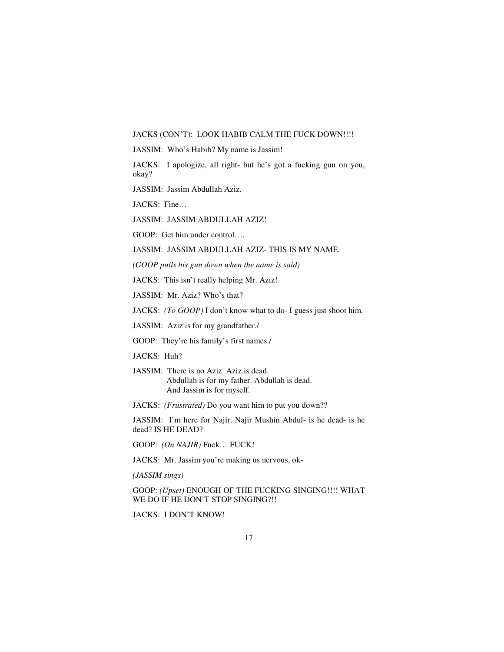#### JACKS (CON'T): LOOK HABIB CALM THE FUCK DOWN!!!!

JASSIM: Who's Habib? My name is Jassim!

JACKS: I apologize, all right- but he's got a fucking gun on you, okay?

JASSIM: Jassim Abdullah Aziz.

JACKS: Fine…

JASSIM: JASSIM ABDULLAH AZIZ!

GOOP: Get him under control….

JASSIM: JASSIM ABDULLAH AZIZ- THIS IS MY NAME.

*(GOOP pulls his gun down when the name is said)* 

JACKS: This isn't really helping Mr. Aziz!

JASSIM: Mr. Aziz? Who's that?

JACKS: *(To GOOP)* I don't know what to do- I guess just shoot him.

JASSIM: Aziz is for my grandfather./

GOOP: They're his family's first names./

JACKS: Huh?

JASSIM: There is no Aziz. Aziz is dead. Abdullah is for my father. Abdullah is dead. And Jassim is for myself.

JACKS: *(Frustrated)* Do you want him to put you down??

JASSIM: I'm here for Najir. Najir Mushin Abdul- is he dead- is he dead? IS HE DEAD?

GOOP: *(On NAJIR)* Fuck… FUCK!

JACKS: Mr. Jassim you're making us nervous, ok-

*(JASSIM sings)* 

GOOP: *(Upset)* ENOUGH OF THE FUCKING SINGING!!!! WHAT WE DO IF HE DON'T STOP SINGING?!!

JACKS: I DON'T KNOW!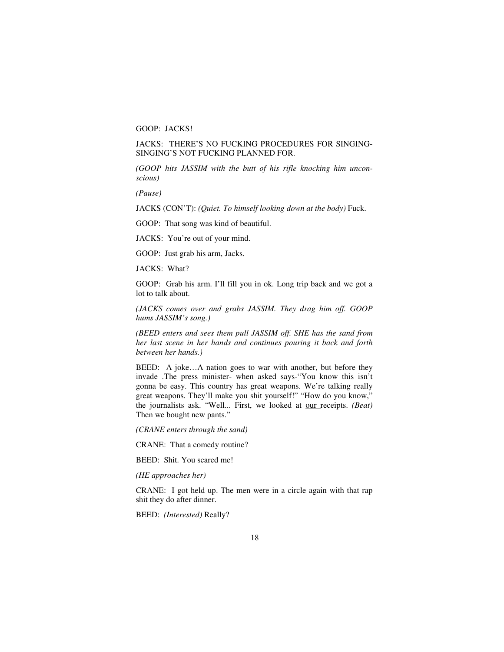GOOP: JACKS!

# JACKS: THERE'S NO FUCKING PROCEDURES FOR SINGING-SINGING'S NOT FUCKING PLANNED FOR.

*(GOOP hits JASSIM with the butt of his rifle knocking him unconscious)* 

*(Pause)* 

JACKS (CON'T): *(Quiet. To himself looking down at the body)* Fuck.

GOOP: That song was kind of beautiful.

JACKS: You're out of your mind.

GOOP: Just grab his arm, Jacks.

JACKS: What?

GOOP: Grab his arm. I'll fill you in ok. Long trip back and we got a lot to talk about.

*(JACKS comes over and grabs JASSIM. They drag him off. GOOP hums JASSIM's song.)* 

*(BEED enters and sees them pull JASSIM off. SHE has the sand from her last scene in her hands and continues pouring it back and forth between her hands.)* 

BEED: A joke…A nation goes to war with another, but before they invade .The press minister- when asked says-"You know this isn't gonna be easy. This country has great weapons. We're talking really great weapons. They'll make you shit yourself!" "How do you know," the journalists ask. "Well... First, we looked at our receipts. *(Beat)*  Then we bought new pants."

*(CRANE enters through the sand)* 

CRANE: That a comedy routine?

BEED: Shit. You scared me!

*(HE approaches her)* 

CRANE: I got held up. The men were in a circle again with that rap shit they do after dinner.

BEED: *(Interested)* Really?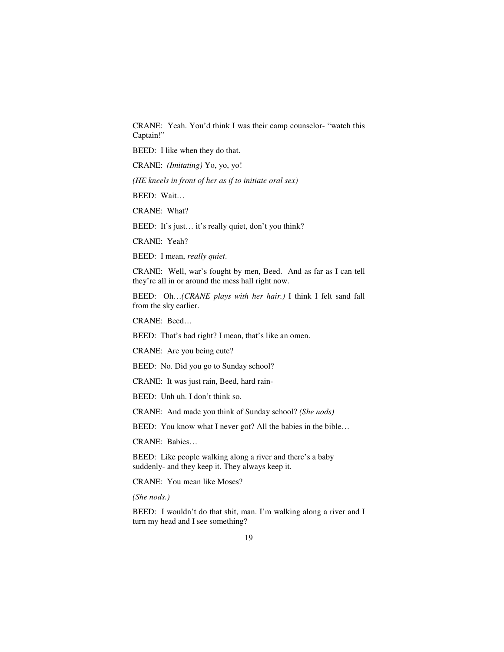CRANE: Yeah. You'd think I was their camp counselor- "watch this Captain!"

BEED: I like when they do that.

CRANE: *(Imitating)* Yo, yo, yo!

*(HE kneels in front of her as if to initiate oral sex)* 

BEED: Wait…

CRANE: What?

BEED: It's just… it's really quiet, don't you think?

CRANE: Yeah?

BEED: I mean, *really quiet*.

CRANE: Well, war's fought by men, Beed. And as far as I can tell they're all in or around the mess hall right now.

BEED: Oh…*(CRANE plays with her hair.)* I think I felt sand fall from the sky earlier.

CRANE: Beed…

BEED: That's bad right? I mean, that's like an omen.

CRANE: Are you being cute?

BEED: No. Did you go to Sunday school?

CRANE: It was just rain, Beed, hard rain-

BEED: Unh uh. I don't think so.

CRANE: And made you think of Sunday school? *(She nods)* 

BEED: You know what I never got? All the babies in the bible...

CRANE: Babies…

BEED: Like people walking along a river and there's a baby suddenly- and they keep it. They always keep it.

CRANE: You mean like Moses?

*(She nods.)* 

BEED: I wouldn't do that shit, man. I'm walking along a river and I turn my head and I see something?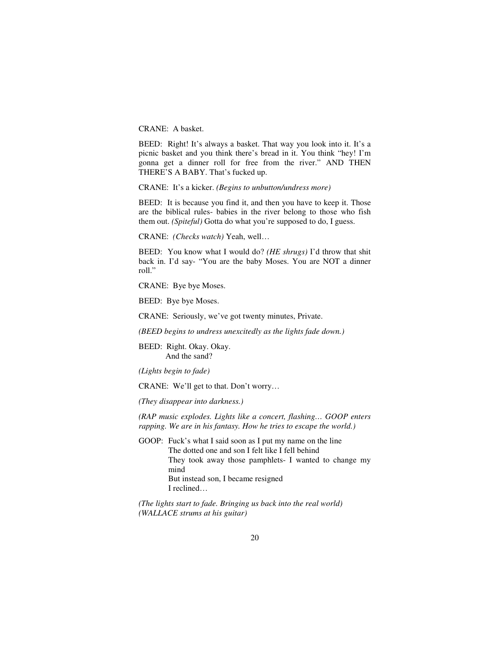CRANE: A basket.

BEED: Right! It's always a basket. That way you look into it. It's a picnic basket and you think there's bread in it. You think "hey! I'm gonna get a dinner roll for free from the river." AND THEN THERE'S A BABY. That's fucked up.

CRANE: It's a kicker. *(Begins to unbutton/undress more)*

BEED: It is because you find it, and then you have to keep it. Those are the biblical rules- babies in the river belong to those who fish them out. *(Spiteful)* Gotta do what you're supposed to do, I guess.

CRANE: *(Checks watch)* Yeah, well…

BEED: You know what I would do? *(HE shrugs)* I'd throw that shit back in. I'd say- "You are the baby Moses. You are NOT a dinner roll."

CRANE: Bye bye Moses.

BEED: Bye bye Moses.

CRANE: Seriously, we've got twenty minutes, Private.

*(BEED begins to undress unexcitedly as the lights fade down.)*

BEED: Right. Okay. Okay. And the sand?

*(Lights begin to fade)* 

CRANE: We'll get to that. Don't worry…

*(They disappear into darkness.)* 

*(RAP music explodes. Lights like a concert, flashing… GOOP enters rapping. We are in his fantasy. How he tries to escape the world.)* 

GOOP: Fuck's what I said soon as I put my name on the line The dotted one and son I felt like I fell behind They took away those pamphlets- I wanted to change my mind But instead son, I became resigned I reclined…

*(The lights start to fade. Bringing us back into the real world) (WALLACE strums at his guitar)*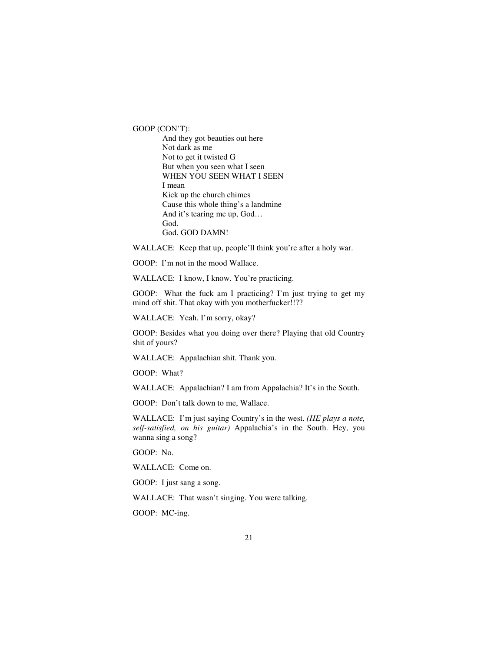GOOP (CON'T):

 And they got beauties out here Not dark as me Not to get it twisted G But when you seen what I seen WHEN YOU SEEN WHAT I SEEN I mean Kick up the church chimes Cause this whole thing's a landmine And it's tearing me up, God… God. God. GOD DAMN!

WALLACE: Keep that up, people'll think you're after a holy war.

GOOP: I'm not in the mood Wallace.

WALLACE: I know, I know. You're practicing.

GOOP: What the fuck am I practicing? I'm just trying to get my mind off shit. That okay with you motherfucker!!??

WALLACE: Yeah. I'm sorry, okay?

GOOP: Besides what you doing over there? Playing that old Country shit of yours?

WALLACE: Appalachian shit. Thank you.

GOOP: What?

WALLACE: Appalachian? I am from Appalachia? It's in the South.

GOOP: Don't talk down to me, Wallace.

WALLACE: I'm just saying Country's in the west. *(HE plays a note, self-satisfied, on his guitar)* Appalachia's in the South. Hey, you wanna sing a song?

GOOP: No.

WALLACE: Come on.

GOOP: I just sang a song.

WALLACE: That wasn't singing. You were talking.

GOOP: MC-ing.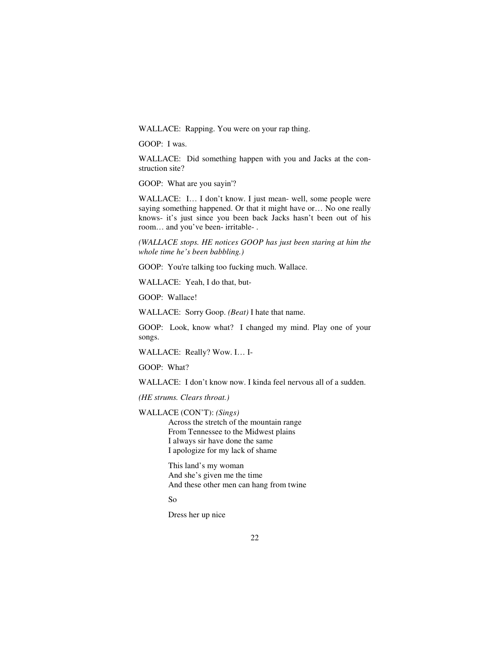WALLACE: Rapping. You were on your rap thing.

GOOP: I was.

WALLACE: Did something happen with you and Jacks at the construction site?

GOOP: What are you sayin'?

WALLACE: I… I don't know. I just mean- well, some people were saying something happened. Or that it might have or… No one really knows- it's just since you been back Jacks hasn't been out of his room… and you've been- irritable- .

*(WALLACE stops. HE notices GOOP has just been staring at him the whole time he's been babbling.)* 

GOOP: You're talking too fucking much. Wallace.

WALLACE: Yeah, I do that, but-

GOOP: Wallace!

WALLACE: Sorry Goop. *(Beat)* I hate that name.

GOOP: Look, know what? I changed my mind. Play one of your songs.

WALLACE: Really? Wow. I… I-

GOOP: What?

WALLACE: I don't know now. I kinda feel nervous all of a sudden.

*(HE strums. Clears throat.)* 

WALLACE (CON'T): *(Sings)* 

Across the stretch of the mountain range From Tennessee to the Midwest plains I always sir have done the same I apologize for my lack of shame

 This land's my woman And she's given me the time And these other men can hang from twine

So

Dress her up nice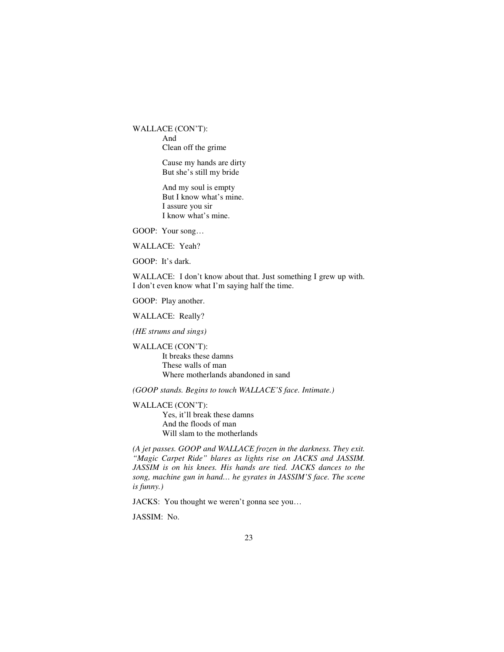WALLACE (CON'T): And Clean off the grime

> Cause my hands are dirty But she's still my bride

 And my soul is empty But I know what's mine. I assure you sir I know what's mine.

GOOP: Your song…

WALLACE: Yeah?

GOOP: It's dark.

WALLACE: I don't know about that. Just something I grew up with. I don't even know what I'm saying half the time.

GOOP: Play another.

WALLACE: Really?

*(HE strums and sings)* 

WALLACE (CON'T):

 It breaks these damns These walls of man Where motherlands abandoned in sand

*(GOOP stands. Begins to touch WALLACE'S face. Intimate.)* 

WALLACE (CON'T):

 Yes, it'll break these damns And the floods of man Will slam to the motherlands

*(A jet passes. GOOP and WALLACE frozen in the darkness. They exit. "Magic Carpet Ride" blares as lights rise on JACKS and JASSIM. JASSIM is on his knees. His hands are tied. JACKS dances to the song, machine gun in hand… he gyrates in JASSIM'S face. The scene is funny.)* 

JACKS: You thought we weren't gonna see you…

JASSIM: No.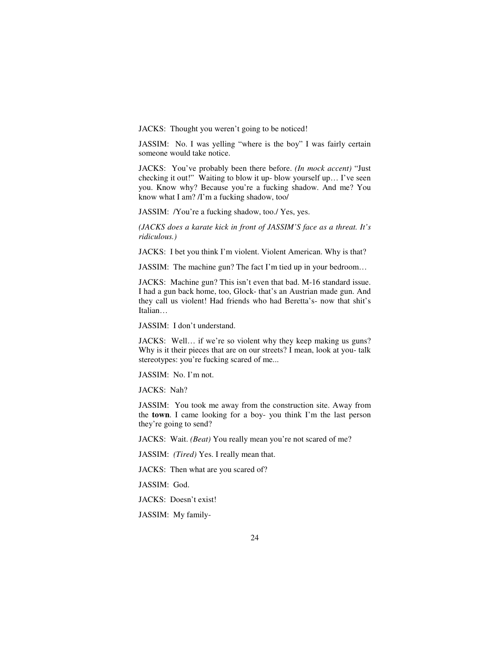JACKS: Thought you weren't going to be noticed!

JASSIM: No. I was yelling "where is the boy" I was fairly certain someone would take notice.

JACKS: You've probably been there before. *(In mock accent)* "Just checking it out!" Waiting to blow it up- blow yourself up… I've seen you. Know why? Because you're a fucking shadow. And me? You know what I am? /I'm a fucking shadow, too/

JASSIM: /You're a fucking shadow, too./ Yes, yes.

*(JACKS does a karate kick in front of JASSIM'S face as a threat. It's ridiculous.)* 

JACKS: I bet you think I'm violent. Violent American. Why is that?

JASSIM: The machine gun? The fact I'm tied up in your bedroom…

JACKS: Machine gun? This isn't even that bad. M-16 standard issue. I had a gun back home, too, Glock- that's an Austrian made gun. And they call us violent! Had friends who had Beretta's- now that shit's Italian…

JASSIM: I don't understand.

JACKS: Well… if we're so violent why they keep making us guns? Why is it their pieces that are on our streets? I mean, look at you- talk stereotypes: you're fucking scared of me...

JASSIM: No. I'm not.

JACKS: Nah?

JASSIM: You took me away from the construction site. Away from the **town**. I came looking for a boy- you think I'm the last person they're going to send?

JACKS: Wait. *(Beat)* You really mean you're not scared of me?

JASSIM: *(Tired)* Yes. I really mean that.

JACKS: Then what are you scared of?

JASSIM: God.

JACKS: Doesn't exist!

JASSIM: My family-